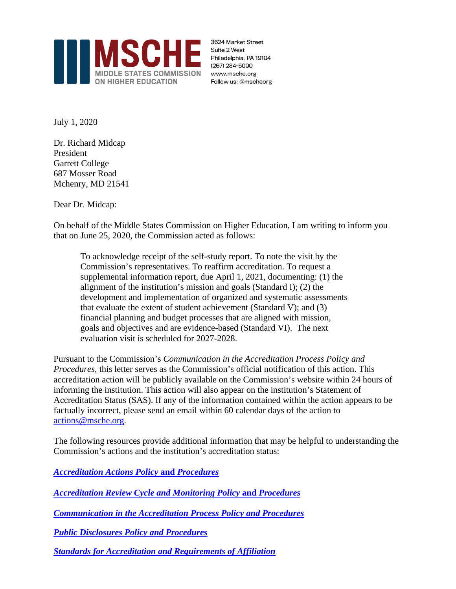

3624 Market Street Suite 2 West Philadelphia, PA 19104 (267) 284-5000 www.msche.org Follow us: @mscheorg

July 1, 2020

Dr. Richard Midcap President Garrett College 687 Mosser Road Mchenry, MD 21541

Dear Dr. Midcap:

On behalf of the Middle States Commission on Higher Education, I am writing to inform you that on June 25, 2020, the Commission acted as follows:

To acknowledge receipt of the self-study report. To note the visit by the Commission's representatives. To reaffirm accreditation. To request a supplemental information report, due April 1, 2021, documenting: (1) the alignment of the institution's mission and goals (Standard I); (2) the development and implementation of organized and systematic assessments that evaluate the extent of student achievement (Standard V); and (3) financial planning and budget processes that are aligned with mission, goals and objectives and are evidence-based (Standard VI). The next evaluation visit is scheduled for 2027-2028.

Pursuant to the Commission's *Communication in the Accreditation Process Policy and Procedures*, this letter serves as the Commission's official notification of this action. This accreditation action will be publicly available on the Commission's website within 24 hours of informing the institution. This action will also appear on the institution's Statement of Accreditation Status (SAS). If any of the information contained within the action appears to be factually incorrect, please send an email within 60 calendar days of the action to [actions@msche.org.](mailto:support@msche.org)

The following resources provide additional information that may be helpful to understanding the Commission's actions and the institution's accreditation status:

*[Accreditation](https://go.msche.org/Accreditation-Actions) Actions Policy* **and** *Procedures*

*[Accreditation](https://go.msche.org/Accreditation-Review-Cycle-and-Monitoring) Review Cycle and Monitoring Policy* **and** *Procedures*

*[Communication](https://go.msche.org/Communication-In-The-Accreditation-Process) in the Accreditation Process Policy and Procedures*

*Public [Disclosures](https://go.msche.org/Public-Disclosures) Policy and Procedures*

*Standards for Accreditation and [Requirements](https://www.msche.org/standards/) of Affiliation*